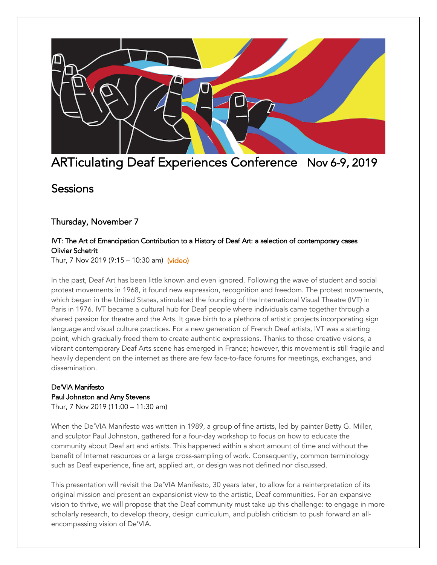

# ARTiculating Deaf Experiences Conference Nov 6-9, 2019

## **Sessions**

### Thursday, November 7

#### IVT: The Art of Emancipation Contribution to a History of Deaf Art: a selection of contemporary cases Olivier Schetrit

Thur, 7 Nov 2019 (9:15 – 10:30 am) [\(video\)](https://www.youtube.com/embed/Pot26QkXapU?cc_lang_pref=en&%3Bcc_load_policy=1)

In the past, Deaf Art has been little known and even ignored. Following the wave of student and social protest movements in 1968, it found new expression, recognition and freedom. The protest movements, which began in the United States, stimulated the founding of the International Visual Theatre (IVT) in Paris in 1976. IVT became a cultural hub for Deaf people where individuals came together through a shared passion for theatre and the Arts. It gave birth to a plethora of artistic projects incorporating sign language and visual culture practices. For a new generation of French Deaf artists, IVT was a starting point, which gradually freed them to create authentic expressions. Thanks to those creative visions, a vibrant contemporary Deaf Arts scene has emerged in France; however, this movement is still fragile and heavily dependent on the internet as there are few face-to-face forums for meetings, exchanges, and dissemination.

## De'VIA Manifesto Paul Johnston and Amy Stevens

Thur, 7 Nov 2019 (11:00 – 11:30 am)

When the De'VIA Manifesto was written in 1989, a group of fine artists, led by painter Betty G. Miller, and sculptor Paul Johnston, gathered for a four-day workshop to focus on how to educate the community about Deaf art and artists. This happened within a short amount of time and without the benefit of Internet resources or a large cross-sampling of work. Consequently, common terminology such as Deaf experience, fine art, applied art, or design was not defined nor discussed.

This presentation will revisit the De'VIA Manifesto, 30 years later, to allow for a reinterpretation of its original mission and present an expansionist view to the artistic, Deaf communities. For an expansive vision to thrive, we will propose that the Deaf community must take up this challenge: to engage in more scholarly research, to develop theory, design curriculum, and publish criticism to push forward an allencompassing vision of De'VIA.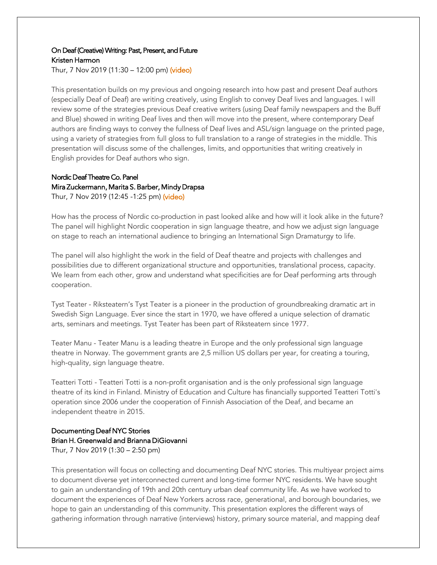#### On Deaf (Creative) Writing: Past, Present, and Future Kristen Harmon

Thur, 7 Nov 2019 (11:30 – 12:00 pm) [\(video\)](https://www.youtube.com/embed/XEygsBAep9k?start=0&%3Bcc_lang_pref=en&%3Bcc_load_policy=1)

This presentation builds on my previous and ongoing research into how past and present Deaf authors (especially Deaf of Deaf) are writing creatively, using English to convey Deaf lives and languages. I will review some of the strategies previous Deaf creative writers (using Deaf family newspapers and the Buff and Blue) showed in writing Deaf lives and then will move into the present, where contemporary Deaf authors are finding ways to convey the fullness of Deaf lives and ASL/sign language on the printed page, using a variety of strategies from full gloss to full translation to a range of strategies in the middle. This presentation will discuss some of the challenges, limits, and opportunities that writing creatively in English provides for Deaf authors who sign.

#### Nordic Deaf Theatre Co. Panel Mira Zuckermann, Marita S. Barber, Mindy Drapsa Thur, 7 Nov 2019 (12:45 -1:25 pm) [\(video\)](https://www.youtube.com/embed/vQac1J2ZomM?cc_lang_pref=en&%3Bcc_load_policy=1)

How has the process of Nordic co-production in past looked alike and how will it look alike in the future? The panel will highlight Nordic cooperation in sign language theatre, and how we adjust sign language on stage to reach an international audience to bringing an International Sign Dramaturgy to life.

The panel will also highlight the work in the field of Deaf theatre and projects with challenges and possibilities due to different organizational structure and opportunities, translational process, capacity. We learn from each other, grow and understand what specificities are for Deaf performing arts through cooperation.

Tyst Teater - Riksteatern's Tyst Teater is a pioneer in the production of groundbreaking dramatic art in Swedish Sign Language. Ever since the start in 1970, we have offered a unique selection of dramatic arts, seminars and meetings. Tyst Teater has been part of Riksteatern since 1977.

Teater Manu - Teater Manu is a leading theatre in Europe and the only professional sign language theatre in Norway. The government grants are 2,5 million US dollars per year, for creating a touring, high-quality, sign language theatre.

Teatteri Totti - Teatteri Totti is a non-profit organisation and is the only professional sign language theatre of its kind in Finland. Ministry of Education and Culture has financially supported Teatteri Totti's operation since 2006 under the cooperation of Finnish Association of the Deaf, and became an independent theatre in 2015.

## Documenting Deaf NYC Stories Brian H. Greenwald and Brianna DiGiovanni

Thur, 7 Nov 2019 (1:30 – 2:50 pm)

This presentation will focus on collecting and documenting Deaf NYC stories. This multiyear project aims to document diverse yet interconnected current and long-time former NYC residents. We have sought to gain an understanding of 19th and 20th century urban deaf community life. As we have worked to document the experiences of Deaf New Yorkers across race, generational, and borough boundaries, we hope to gain an understanding of this community. This presentation explores the different ways of gathering information through narrative (interviews) history, primary source material, and mapping deaf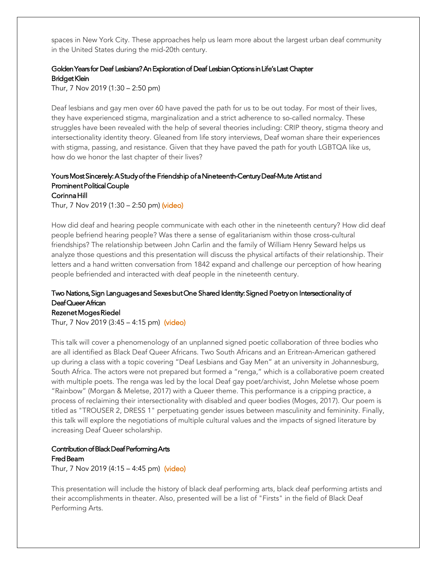spaces in New York City. These approaches help us learn more about the largest urban deaf community in the United States during the mid-20th century.

#### Golden Years for Deaf Lesbians? An Exploration of Deaf Lesbian Options in Life's Last Chapter Bridget Klein

Thur, 7 Nov 2019 (1:30 – 2:50 pm)

Deaf lesbians and gay men over 60 have paved the path for us to be out today. For most of their lives, they have experienced stigma, marginalization and a strict adherence to so-called normalcy. These struggles have been revealed with the help of several theories including: CRIP theory, stigma theory and intersectionality identity theory. Gleaned from life story interviews, Deaf woman share their experiences with stigma, passing, and resistance. Given that they have paved the path for youth LGBTQA like us, how do we honor the last chapter of their lives?

#### Yours Most Sincerely: A Study of the Friendship of a Nineteenth-Century Deaf-Mute Artist and Prominent Political Couple Corinna Hill

Thur, 7 Nov 2019 (1:30 – 2:50 pm) [\(video\)](https://www.youtube.com/embed/18w3I6h5ZBs?start=0&%3Bcc_lang_pref=en&%3Bcc_load_policy=1)

How did deaf and hearing people communicate with each other in the nineteenth century? How did deaf people befriend hearing people? Was there a sense of egalitarianism within those cross-cultural friendships? The relationship between John Carlin and the family of William Henry Seward helps us analyze those questions and this presentation will discuss the physical artifacts of their relationship. Their letters and a hand written conversation from 1842 expand and challenge our perception of how hearing people befriended and interacted with deaf people in the nineteenth century.

#### Two Nations, Sign Languages and Sexes but One Shared Identity: Signed Poetry on Intersectionality of Deaf Queer African

#### Rezenet Moges Riedel

Thur, 7 Nov 2019 (3:45 – 4:15 pm) [\(video\)](https://www.youtube.com/embed/Ko3LzvmM7rw?cc_lang_pref=en&%3Bcc_load_policy=1)

This talk will cover a phenomenology of an unplanned signed poetic collaboration of three bodies who are all identified as Black Deaf Queer Africans. Two South Africans and an Eritrean-American gathered up during a class with a topic covering "Deaf Lesbians and Gay Men" at an university in Johannesburg, South Africa. The actors were not prepared but formed a "renga," which is a collaborative poem created with multiple poets. The renga was led by the local Deaf gay poet/archivist, John Meletse whose poem "Rainbow" (Morgan & Meletse, 2017) with a Queer theme. This performance is a cripping practice, a process of reclaiming their intersectionality with disabled and queer bodies (Moges, 2017). Our poem is titled as "TROUSER 2, DRESS 1" perpetuating gender issues between masculinity and femininity. Finally, this talk will explore the negotiations of multiple cultural values and the impacts of signed literature by increasing Deaf Queer scholarship.

### Contribution of Black Deaf Performing Arts Fred Beam

Thur, 7 Nov 2019 (4:15 – 4:45 pm) [\(video\)](https://youtu.be/LOvOE-8Pdzg)

This presentation will include the history of black deaf performing arts, black deaf performing artists and their accomplishments in theater. Also, presented will be a list of "Firsts" in the field of Black Deaf Performing Arts.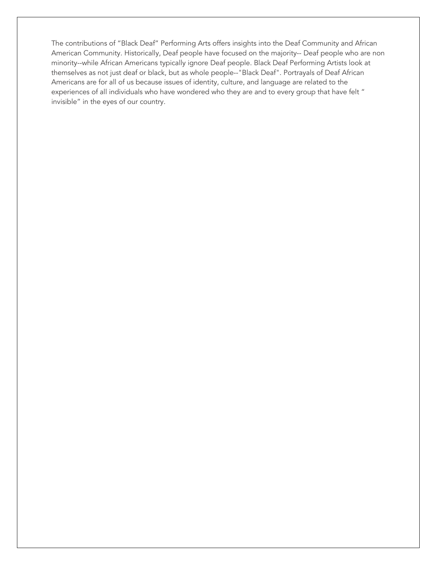The contributions of "Black Deaf" Performing Arts offers insights into the Deaf Community and African American Community. Historically, Deaf people have focused on the majority-- Deaf people who are non minority--while African Americans typically ignore Deaf people. Black Deaf Performing Artists look at themselves as not just deaf or black, but as whole people--"Black Deaf". Portrayals of Deaf African Americans are for all of us because issues of identity, culture, and language are related to the experiences of all individuals who have wondered who they are and to every group that have felt " invisible" in the eyes of our country.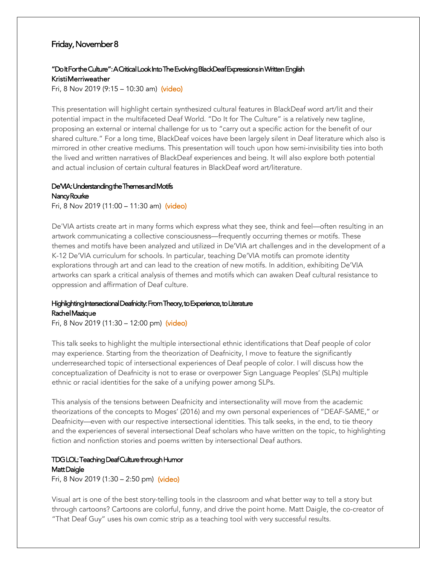#### Friday, November 8

#### "Do It For the Culture": A Critical Look Into The Evolving BlackDeaf Expressions in Written English Kristi Merriweather

Fri, 8 Nov 2019 (9:15 – 10:30 am) [\(video\)](https://www.youtube.com/embed/WJqkP_exmtI?start=0&%3Bcc_lang_pref=en&%3Bcc_load_policy=1)

This presentation will highlight certain synthesized cultural features in BlackDeaf word art/lit and their potential impact in the multifaceted Deaf World. "Do It for The Culture" is a relatively new tagline, proposing an external or internal challenge for us to "carry out a specific action for the benefit of our shared culture." For a long time, BlackDeaf voices have been largely silent in Deaf literature which also is mirrored in other creative mediums. This presentation will touch upon how semi-invisibility ties into both the lived and written narratives of BlackDeaf experiences and being. It will also explore both potential and actual inclusion of certain cultural features in BlackDeaf word art/literature.

#### De'VIA: Understanding the Themes and Motifs Nancy Rourke

Fri, 8 Nov 2019 (11:00 – 11:30 am) [\(video\)](https://www.youtube.com/embed/gAMt4t4dmqo?cc_lang_pref=en&%3Bcc_load_policy=1)

De'VIA artists create art in many forms which express what they see, think and feel—often resulting in an artwork communicating a collective consciousness—frequently occurring themes or motifs. These themes and motifs have been analyzed and utilized in De'VIA art challenges and in the development of a K-12 De'VIA curriculum for schools. In particular, teaching De'VIA motifs can promote identity explorations through art and can lead to the creation of new motifs. In addition, exhibiting De'VIA artworks can spark a critical analysis of themes and motifs which can awaken Deaf cultural resistance to oppression and affirmation of Deaf culture.

#### Highlighting Intersectional Deafnicity: From Theory, to Experience, to Literature Rachel Mazique

Fri, 8 Nov 2019 (11:30 – 12:00 pm) [\(video\)](https://www.youtube.com/embed/6vRxQGkE7eE?cc_lang_pref=en&%3Bcc_load_policy=1)

This talk seeks to highlight the multiple intersectional ethnic identifications that Deaf people of color may experience. Starting from the theorization of Deafnicity, I move to feature the significantly underresearched topic of intersectional experiences of Deaf people of color. I will discuss how the conceptualization of Deafnicity is not to erase or overpower Sign Language Peoples' (SLPs) multiple ethnic or racial identities for the sake of a unifying power among SLPs.

This analysis of the tensions between Deafnicity and intersectionality will move from the academic theorizations of the concepts to Moges' (2016) and my own personal experiences of "DEAF-SAME," or Deafnicity—even with our respective intersectional identities. This talk seeks, in the end, to tie theory and the experiences of several intersectional Deaf scholars who have written on the topic, to highlighting fiction and nonfiction stories and poems written by intersectional Deaf authors.

### TDG LOL: Teaching Deaf Culture through Humor Matt Daigle

Fri, 8 Nov 2019 (1:30 – 2:50 pm) [\(video\)](https://www.youtube.com/embed/OqCDedtEMqA?cc_lang_pref=en&cc_load_policy=1)

Visual art is one of the best story-telling tools in the classroom and what better way to tell a story but through cartoons? Cartoons are colorful, funny, and drive the point home. Matt Daigle, the co-creator of "That Deaf Guy" uses his own comic strip as a teaching tool with very successful results.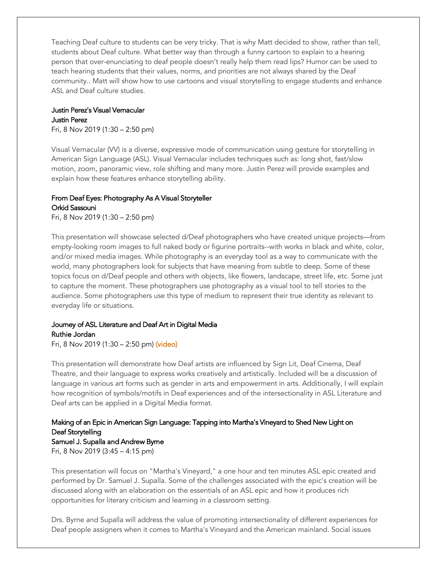Teaching Deaf culture to students can be very tricky. That is why Matt decided to show, rather than tell, students about Deaf culture. What better way than through a funny cartoon to explain to a hearing person that over-enunciating to deaf people doesn't really help them read lips? Humor can be used to teach hearing students that their values, norms, and priorities are not always shared by the Deaf community.. Matt will show how to use cartoons and visual storytelling to engage students and enhance ASL and Deaf culture studies.

## Justin Perez's Visual Vernacular Justin Perez

Fri, 8 Nov 2019 (1:30 – 2:50 pm)

Visual Vernacular (VV) is a diverse, expressive mode of communication using gesture for storytelling in American Sign Language (ASL). Visual Vernacular includes techniques such as: long shot, fast/slow motion, zoom, panoramic view, role shifting and many more. Justin Perez will provide examples and explain how these features enhance storytelling ability.

#### From Deaf Eyes: Photography As A Visual Storyteller Orkid Sassouni

Fri, 8 Nov 2019 (1:30 – 2:50 pm)

This presentation will showcase selected d/Deaf photographers who have created unique projects—from empty-looking room images to full naked body or figurine portraits--with works in black and white, color, and/or mixed media images. While photography is an everyday tool as a way to communicate with the world, many photographers look for subjects that have meaning from subtle to deep. Some of these topics focus on d/Deaf people and others with objects, like flowers, landscape, street life, etc. Some just to capture the moment. These photographers use photography as a visual tool to tell stories to the audience. Some photographers use this type of medium to represent their true identity as relevant to everyday life or situations.

#### Journey of ASL Literature and Deaf Art in Digital Media Ruthie Jordan

Fri, 8 Nov 2019 (1:30 – 2:50 pm) [\(video\)](https://www.youtube.com/embed/L1kK_Qkobt8?cc_lang_pref=en&cc_load_policy=1)

This presentation will demonstrate how Deaf artists are influenced by Sign Lit, Deaf Cinema, Deaf Theatre, and their language to express works creatively and artistically. Included will be a discussion of language in various art forms such as gender in arts and empowerment in arts. Additionally, I will explain how recognition of symbols/motifs in Deaf experiences and of the intersectionality in ASL Literature and Deaf arts can be applied in a Digital Media format.

## Making of an Epic in American Sign Language: Tapping into Martha's Vineyard to Shed New Light on Deaf Storytelling

Samuel J. Supalla and Andrew Byrne Fri, 8 Nov 2019 (3:45 – 4:15 pm)

This presentation will focus on "Martha's Vineyard," a one hour and ten minutes ASL epic created and performed by Dr. Samuel J. Supalla. Some of the challenges associated with the epic's creation will be discussed along with an elaboration on the essentials of an ASL epic and how it produces rich opportunities for literary criticism and learning in a classroom setting.

Drs. Byrne and Supalla will address the value of promoting intersectionality of different experiences for Deaf people assigners when it comes to Martha's Vineyard and the American mainland. Social issues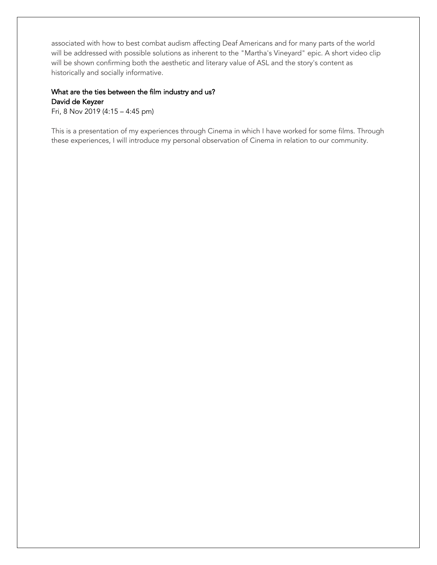associated with how to best combat audism affecting Deaf Americans and for many parts of the world will be addressed with possible solutions as inherent to the "Martha's Vineyard" epic. A short video clip will be shown confirming both the aesthetic and literary value of ASL and the story's content as historically and socially informative.

#### What are the ties between the film industry and us? David de Keyzer

Fri, 8 Nov 2019 (4:15 – 4:45 pm)

This is a presentation of my experiences through Cinema in which I have worked for some films. Through these experiences, I will introduce my personal observation of Cinema in relation to our community.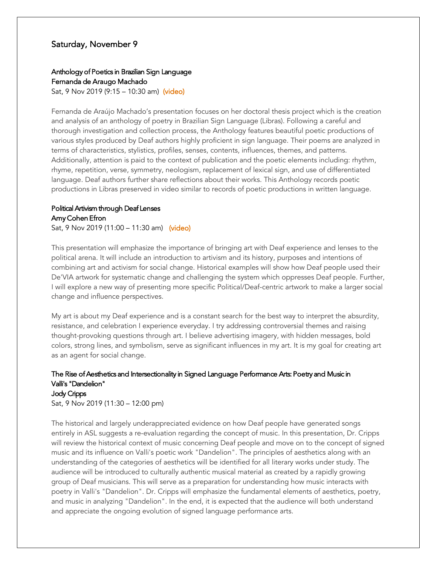#### Saturday, November 9

#### Anthology of Poetics in Brazilian Sign Language

Fernanda de Araugo Machado

Sat, 9 Nov 2019 (9:15 – 10:30 am) [\(video\)](https://www.youtube.com/embed/k_28KVh6Mq4?start=0&%3Bcc_lang_pref=en&%3Bcc_load_policy=1)

Fernanda de Araújo Machado's presentation focuses on her doctoral thesis project which is the creation and analysis of an anthology of poetry in Brazilian Sign Language (Libras). Following a careful and thorough investigation and collection process, the Anthology features beautiful poetic productions of various styles produced by Deaf authors highly proficient in sign language. Their poems are analyzed in terms of characteristics, stylistics, profiles, senses, contents, influences, themes, and patterns. Additionally, attention is paid to the context of publication and the poetic elements including: rhythm, rhyme, repetition, verse, symmetry, neologism, replacement of lexical sign, and use of differentiated language. Deaf authors further share reflections about their works. This Anthology records poetic productions in Libras preserved in video similar to records of poetic productions in written language.

## Political Artivism through Deaf Lenses Amy Cohen Efron

Sat, 9 Nov 2019 (11:00 – 11:30 am) [\(video\)](https://www.youtube.com/embed/1Znf9FOz8fU?cc_lang_pref=en&%3Bcc_load_policy=1)

This presentation will emphasize the importance of bringing art with Deaf experience and lenses to the political arena. It will include an introduction to artivism and its history, purposes and intentions of combining art and activism for social change. Historical examples will show how Deaf people used their De'VIA artwork for systematic change and challenging the system which oppresses Deaf people. Further, I will explore a new way of presenting more specific Political/Deaf-centric artwork to make a larger social change and influence perspectives.

My art is about my Deaf experience and is a constant search for the best way to interpret the absurdity, resistance, and celebration I experience everyday. I try addressing controversial themes and raising thought-provoking questions through art. I believe advertising imagery, with hidden messages, bold colors, strong lines, and symbolism, serve as significant influences in my art. It is my goal for creating art as an agent for social change.

#### The Rise of Aesthetics and Intersectionality in Signed Language Performance Arts: Poetry and Music in Valli's "Dandelion" Jody Cripps

Sat, 9 Nov 2019 (11:30 – 12:00 pm)

The historical and largely underappreciated evidence on how Deaf people have generated songs entirely in ASL suggests a re-evaluation regarding the concept of music. In this presentation, Dr. Cripps will review the historical context of music concerning Deaf people and move on to the concept of signed music and its influence on Valli's poetic work "Dandelion". The principles of aesthetics along with an understanding of the categories of aesthetics will be identified for all literary works under study. The audience will be introduced to culturally authentic musical material as created by a rapidly growing group of Deaf musicians. This will serve as a preparation for understanding how music interacts with poetry in Valli's "Dandelion". Dr. Cripps will emphasize the fundamental elements of aesthetics, poetry, and music in analyzing "Dandelion". In the end, it is expected that the audience will both understand and appreciate the ongoing evolution of signed language performance arts.